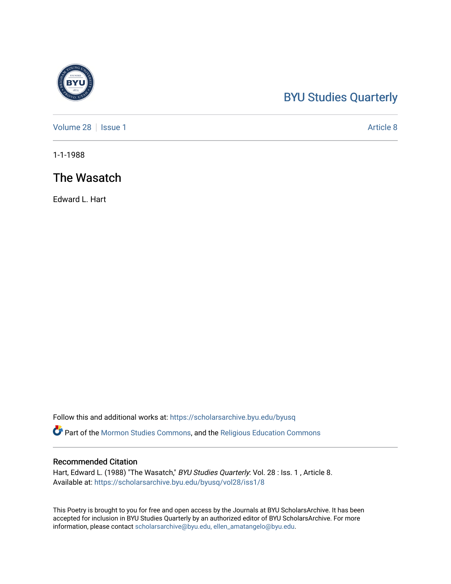## [BYU Studies Quarterly](https://scholarsarchive.byu.edu/byusq)

[Volume 28](https://scholarsarchive.byu.edu/byusq/vol28) | [Issue 1](https://scholarsarchive.byu.edu/byusq/vol28/iss1) Article 8

1-1-1988

## The Wasatch

Edward L. Hart

Follow this and additional works at: [https://scholarsarchive.byu.edu/byusq](https://scholarsarchive.byu.edu/byusq?utm_source=scholarsarchive.byu.edu%2Fbyusq%2Fvol28%2Fiss1%2F8&utm_medium=PDF&utm_campaign=PDFCoverPages) 

**Part of the [Mormon Studies Commons](http://network.bepress.com/hgg/discipline/1360?utm_source=scholarsarchive.byu.edu%2Fbyusq%2Fvol28%2Fiss1%2F8&utm_medium=PDF&utm_campaign=PDFCoverPages), and the Religious Education Commons** 

## Recommended Citation

Hart, Edward L. (1988) "The Wasatch," BYU Studies Quarterly: Vol. 28 : Iss. 1, Article 8. Available at: [https://scholarsarchive.byu.edu/byusq/vol28/iss1/8](https://scholarsarchive.byu.edu/byusq/vol28/iss1/8?utm_source=scholarsarchive.byu.edu%2Fbyusq%2Fvol28%2Fiss1%2F8&utm_medium=PDF&utm_campaign=PDFCoverPages)

This Poetry is brought to you for free and open access by the Journals at BYU ScholarsArchive. It has been accepted for inclusion in BYU Studies Quarterly by an authorized editor of BYU ScholarsArchive. For more information, please contact [scholarsarchive@byu.edu, ellen\\_amatangelo@byu.edu.](mailto:scholarsarchive@byu.edu,%20ellen_amatangelo@byu.edu)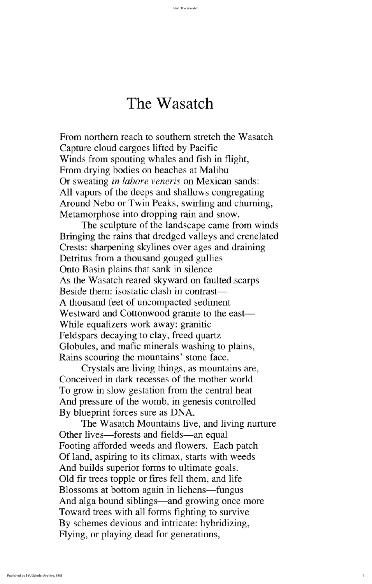from northern reach to southern stretch the wasatch capture cloud cargoes lifted by pacific Winds from spouting whales and fish in flight, From drying bodies on beaches at Malibu Or sweating *in labore veneris* on Mexican sands: all vapors of the deeps and shallows congregating Around Nebo or Twin Peaks, swirling and churning, Metamorphose into dropping rain and snow.

The sculpture of the landscape came from winds bringing the rains that dredged valleys and crenelated Crests: sharpening skylines over ages and draining Detritus from a thousand gouged gullies Onto Basin plains that sank in silence As the Wasatch reared skyward on faulted scarps Beside them: isostatic clash in contrast— A thousand feet of uncompacted sediment Westward and Cottonwood granite to the east— While equalizers work away: granitic Feldspars decaying to clay, freed quartz Globules, and mafic minerals washing to plains, Rains scouring the mountains' stone face. Crystals are living things, as mountains are, conceived in dark recesses of the mother world To grow in slow gestation from the central heat And pressure of the womb, in genesis controlled By blueprint forces sure as DNA. The Wasatch Mountains live, and living nurture Other lives—forests and fields—an equal Footing afforded weeds and flowers. Each patch Of land, aspiring to its climax, starts with weeds And builds superior forms to ultimate goals. Old fir trees topple or fires fell them, and life Blossoms at bottom again in lichens—fungus And alga bound siblings—and growing once more Toward trees with all forms fighting to survive By schemes devious and intricate: hybridizing, Flying, or playing dead for generations,

## The Wasatch